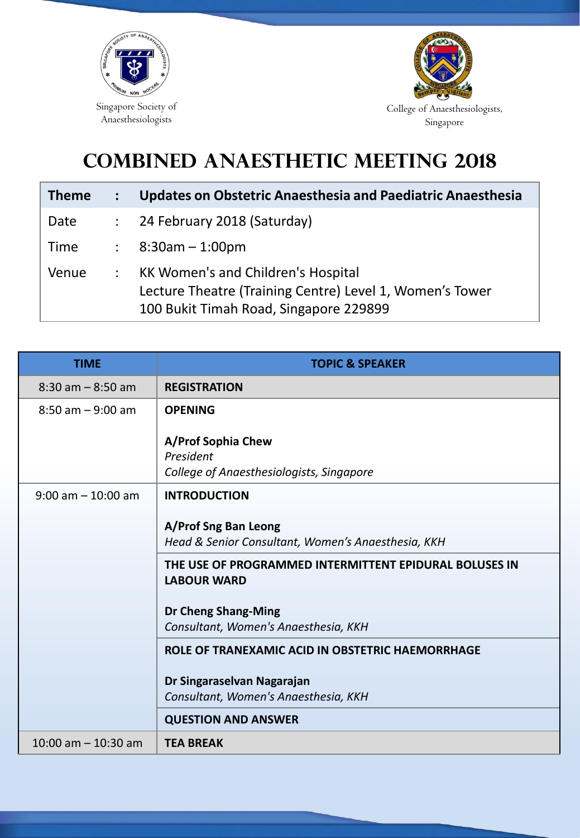



## **COMBINED ANAESTHETIC MEETING 2018**

| Theme | Updates on Obstetric Anaesthesia and Paediatric Anaesthesia                                                                                     |
|-------|-------------------------------------------------------------------------------------------------------------------------------------------------|
| Date  | 24 February 2018 (Saturday)                                                                                                                     |
| Time  | $8:30$ am – 1:00pm                                                                                                                              |
| Venue | <b>KK Women's and Children's Hospital</b><br>Lecture Theatre (Training Centre) Level 1, Women's Tower<br>100 Bukit Timah Road, Singapore 229899 |

| <b>TIME</b>             | <b>TOPIC &amp; SPEAKER</b>                                                                                                                                                                                                                              |
|-------------------------|---------------------------------------------------------------------------------------------------------------------------------------------------------------------------------------------------------------------------------------------------------|
| $8:30$ am $-8:50$ am    | <b>REGISTRATION</b>                                                                                                                                                                                                                                     |
| $8:50$ am $-9:00$ am    | <b>OPENING</b><br>A/Prof Sophia Chew<br>President<br>College of Anaesthesiologists, Singapore                                                                                                                                                           |
| $9:00$ am $-10:00$ am   | <b>INTRODUCTION</b><br>A/Prof Sng Ban Leong<br>Head & Senior Consultant, Women's Anaesthesia, KKH<br>THE USE OF PROGRAMMED INTERMITTENT EPIDURAL BOLUSES IN<br><b>LABOUR WARD</b><br><b>Dr Cheng Shang-Ming</b><br>Consultant, Women's Anaesthesia, KKH |
|                         | ROLE OF TRANEXAMIC ACID IN OBSTETRIC HAEMORRHAGE<br>Dr Singaraselvan Nagarajan<br>Consultant, Women's Anaesthesia, KKH<br><b>QUESTION AND ANSWER</b>                                                                                                    |
| $10:00$ am $- 10:30$ am | <b>TEA BREAK</b>                                                                                                                                                                                                                                        |